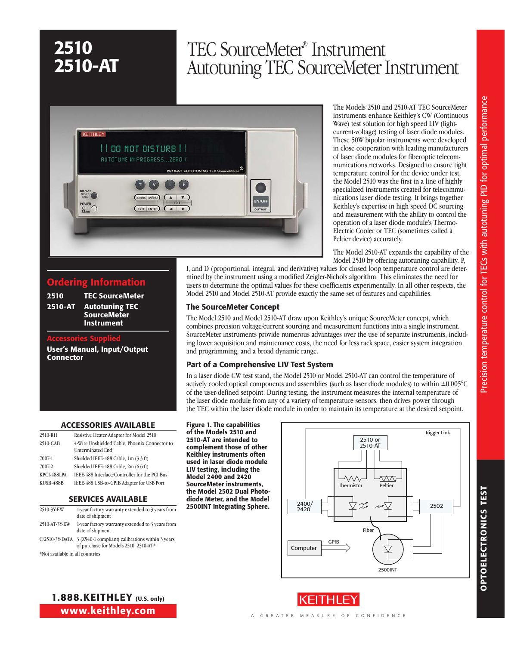# TEC SourceMeter® Instrument Autotuning TEC SourceMeter Instrument



The Models 2510 and 2510-AT TEC SourceMeter instruments enhance Keithley's CW (Continuous Wave) test solution for high speed LIV (lightcurrent-voltage) testing of laser diode modules. These 50W bipolar instruments were developed in close cooperation with leading manufacturers of laser diode modules for fiberoptic telecommunications networks. Designed to ensure tight temperature control for the device under test, the Model 2510 was the first in a line of highly specialized instruments created for telecommunications laser diode testing. It brings together Keithley's expertise in high speed DC sourcing and measurement with the ability to control the operation of a laser diode module's Thermo-Electric Cooler or TEC (sometimes called a Peltier device) accurately.

The Model 2510-AT expands the capability of the Model 2510 by offering autotuning capability. P,

I, and D (proportional, integral, and derivative) values for closed loop temperature control are determined by the instrument using a modified Zeigler-Nichols algorithm. This eliminates the need for users to determine the optimal values for these coefficients experimentally. In all other respects, the Model 2510 and Model 2510-AT provide exactly the same set of features and capabilities.

#### The SourceMeter Concept

The Model 2510 and Model 2510-AT draw upon Keithley's unique SourceMeter concept, which combines precision voltage/current sourcing and measurement functions into a single instrument. SourceMeter instruments provide numerous advantages over the use of separate instruments, including lower acquisition and maintenance costs, the need for less rack space, easier system integration and programming, and a broad dynamic range.

### Part of a Comprehensive LIV Test System

In a laser diode CW test stand, the Model 2510 or Model 2510-AT can control the temperature of actively cooled optical components and assemblies (such as laser diode modules) to within ±0.005°C of the user-defined setpoint. During testing, the instrument measures the internal temperature of the laser diode module from any of a variety of temperature sensors, then drives power through the TEC within the laser diode module in order to maintain its temperature at the desired setpoint.

#### Accessories Available

Ordering Information 2510 TEC SourceMeter 2510-AT Autotuning TEC **SourceMeter** Instrument

User's Manual, Input/Output

Accessories Supplied

**Connector** 

| 2510-RH     | Resistive Heater Adapter for Model 2510                                  |
|-------------|--------------------------------------------------------------------------|
| 2510-CAB    | 4-Wire Unshielded Cable, Phoenix Connector to<br><b>Unterminated End</b> |
| 7007-1      | Shielded IEEE-488 Cable, 1m (3.3 ft)                                     |
| 7007-2      | Shielded IEEE-488 Cable, 2m (6.6 ft)                                     |
| KPCI-488LPA | IEEE-488 Interface/Controller for the PCI Bus                            |
| KUSB-488B   | IEEE-488 USB-to-GPIB Adapter for USB Port                                |

#### Services Available

| 2510-3Y-EW                     | 1-year factory warranty extended to 3 years from<br>date of shipment                                     |
|--------------------------------|----------------------------------------------------------------------------------------------------------|
| 2510-AT-3Y-EW                  | 1-year factory warranty extended to 3 years from<br>date of shipment                                     |
|                                | C/2510-3Y-DATA 3 (Z540-1 compliant) calibrations within 3 years<br>of purchase for Models 2510, 2510-AT* |
| Not available in all countries |                                                                                                          |

available in all countries

Figure 1. The capabilities of the Models 2510 and 2510-AT are intended to complement those of other Keithley instruments often used in laser diode module LIV testing, including the Model 2400 and 2420 SourceMeter instruments, the Model 2502 Dual Photodiode Meter, and the Model 2500INT Integrating Sphere.





1.888.KEITHLEY (U.S. only) www.keithley.com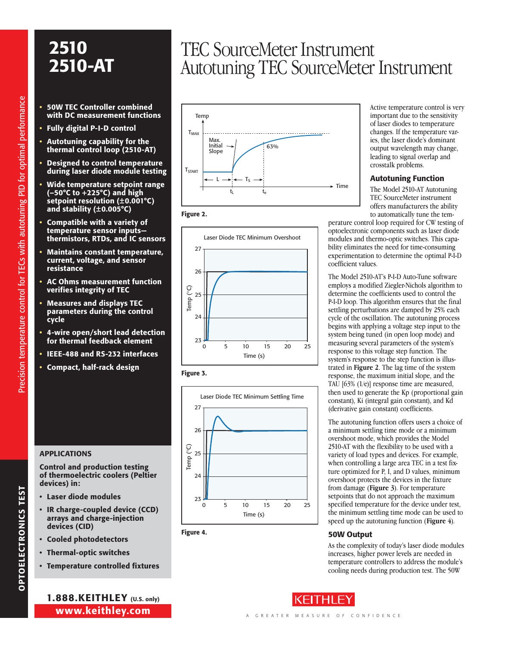- 50W TEC Controller combined with DC measurement functions
- Fully digital P-I-D control
- Autotuning capability for the thermal control loop (2510-AT)
- Designed to control temperature during laser diode module testing
- Wide temperature setpoint range (–50°C to +225°C) and high setpoint resolution (±0.001°C) and stability (±0.005°C)
- Compatible with a variety of temperature sensor inputs thermistors, RTDs, and IC sensors
- Maintains constant temperature, current, voltage, and sensor resistance
- AC Ohms measurement function verifies integrity of TEC
- Measures and displays TEC parameters during the control cycle
- 4-wire open/short lead detection for thermal feedback element
- IEEE-488 and RS-232 interfaces
- Compact, half-rack design

### **APPLICATIONS**

Control and production testing of thermoelectric coolers (Peltier devices) in:

- • Laser diode modules
- IR charge-coupled device (CCD) arrays and charge-injection devices (CID)
- • Cooled photodetectors
- • Thermal-optic switches
- • Temperature controlled fixtures

www.keithley.com 1.888.KEITHLEY (U.S. only)

## TEC SourceMeter Instrument Autotuning TEC SourceMeter Instrument











Figure 4.

Active temperature control is very important due to the sensitivity of laser diodes to temperature changes. If the temperature varies, the laser diode's dominant output wavelength may change, leading to signal overlap and crosstalk problems.

#### Autotuning Function

The Model 2510-AT Autotuning TEC SourceMeter instrument offers manufacturers the ability to automatically tune the tem-

perature control loop required for CW testing of optoelectronic components such as laser diode modules and thermo-optic switches. This capability eliminates the need for time-consuming experimentation to determine the optimal P-I-D coefficient values.

The Model 2510-AT's P-I-D Auto-Tune software employs a modified Ziegler-Nichols algorithm to determine the coefficients used to control the P-I-D loop. This algorithm ensures that the final settling perturbations are damped by 25% each cycle of the oscillation. The autotuning process begins with applying a voltage step input to the system being tuned (in open loop mode) and measuring several parameters of the system's response to this voltage step function. The system's response to the step function is illustrated in **Figure 2**. The lag time of the system response, the maximum initial slope, and the TAU [63% (1/e)] response time are measured, then used to generate the Kp (proportional gain constant), Ki (integral gain constant), and Kd (derivative gain constant) coefficients.

The autotuning function offers users a choice of a minimum settling time mode or a minimum overshoot mode, which provides the Model 2510-AT with the flexibility to be used with a variety of load types and devices. For example, when controlling a large area TEC in a test fixture optimized for P, I, and D values, minimum overshoot protects the devices in the fixture from damage (**Figure 3**). For temperature setpoints that do not approach the maximum specified temperature for the device under test, the minimum settling time mode can be used to speed up the autotuning function (**Figure 4**).

### 50W Output

As the complexity of today's laser diode modules increases, higher power levels are needed in temperature controllers to address the module's cooling needs during production test. The 50W

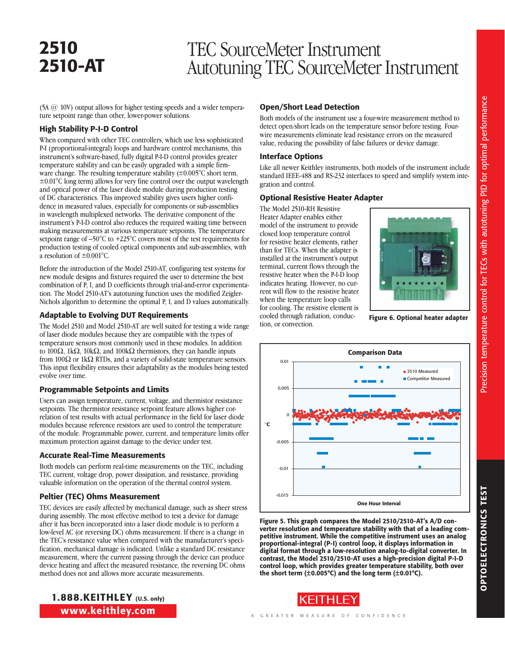## TEC SourceMeter Instrument Autotuning TEC SourceMeter Instrument

(5A @ 10V) output allows for higher testing speeds and a wider temperature setpoint range than other, lower-power solutions.

#### High Stability P-I-D Control

When compared with other TEC controllers, which use less sophisticated P-I (proportional-integral) loops and hardware control mechanisms, this instrument's software-based, fully digital P-I-D control provides greater temperature stability and can be easily upgraded with a simple firmware change. The resulting temperature stability  $(\pm 0.005^{\circ} \text{C} \cdot \text{short term})$ , ±0.01°C long term) allows for very fine control over the output wavelength and optical power of the laser diode module during production testing of DC characteristics. This improved stability gives users higher confidence in measured values, especially for components or sub-assemblies in wavelength multiplexed networks. The derivative component of the instrument's P-I-D control also reduces the required waiting time between making measurements at various temperature setpoints. The temperature setpoint range of –50°C to +225°C covers most of the test requirements for production testing of cooled optical components and sub-assemblies, with a resolution of  $\pm 0.001$ °C.

Before the introduction of the Model 2510-AT, configuring test systems for new module designs and fixtures required the user to determine the best combination of P, I, and D coefficients through trial-and-error experimentation. The Model 2510-AT's autotuning function uses the modified Zeigler-Nichols algorithm to determine the optimal P, I, and D values automatically.

### Adaptable to Evolving DUT Requirements

The Model 2510 and Model 2510-AT are well suited for testing a wide range of laser diode modules because they are compatible with the types of temperature sensors most commonly used in these modules. In addition to 100 $\Omega$ , 1k $\Omega$ , 10k $\Omega$ , and 100k $\Omega$  thermistors, they can handle inputs from 100 $\Omega$  or 1k $\Omega$  RTDs, and a variety of solid-state temperature sensors. This input flexibility ensures their adaptability as the modules being tested evolve over time.

### Programmable Setpoints and Limits

Users can assign temperature, current, voltage, and thermistor resistance setpoints. The thermistor resistance setpoint feature allows higher correlation of test results with actual performance in the field for laser diode modules because reference resistors are used to control the temperature of the module. Programmable power, current, and temperature limits offer maximum protection against damage to the device under test.

#### Accurate Real-Time Measurements

Both models can perform real-time measurements on the TEC, including TEC current, voltage drop, power dissipation, and resistance, providing valuable information on the operation of the thermal control system.

### Peltier (TEC) Ohms Measurement

TEC devices are easily affected by mechanical damage, such as sheer stress during assembly. The most effective method to test a device for damage after it has been incorporated into a laser diode module is to perform a low-level AC (or reversing DC) ohms measurement. If there is a change in the TEC's resistance value when compared with the manufacturer's specification, mechanical damage is indicated. Unlike a standard DC resistance measurement, where the current passing through the device can produce device heating and affect the measured resistance, the reversing DC ohms method does not and allows more accurate measurements.

### Open/Short Lead Detection

Both models of the instrument use a four-wire measurement method to detect open/short leads on the temperature sensor before testing. Fourwire measurements eliminate lead resistance errors on the measured value, reducing the possibility of false failures or device damage.

#### Interface Options

Like all newer Keithley instruments, both models of the instrument include standard IEEE-488 and RS-232 interfaces to speed and simplify system integration and control.

### Optional Resistive Heater Adapter

The Model 2510-RH Resistive Heater Adapter enables either model of the instrument to provide closed loop temperature control for resistive heater elements, rather than for TECs. When the adapter is installed at the instrument's output terminal, current flows through the resistive heater when the P-I-D loop indicates heating. However, no current will flow to the resistive heater when the temperature loop calls for cooling. The resistive element is cooled through radiation, conduction, or convection.



Figure 6. Optional heater adapter



Figure 5. This graph compares the Model 2510/2510-AT's A/D converter resolution and temperature stability with that of a leading competitive instrument. While the competitive instrument uses an analog proportional-integral (P-I) control loop, it displays information in digital format through a low-resolution analog-to-digital converter. In contrast, the Model 2510/2510-AT uses a high-precision digital P-I-D control loop, which provides greater temperature stability, both over the short term  $(\pm 0.005^{\circ}C)$  and the long term  $(\pm 0.01^{\circ}C)$ .



1.888.KEITHLEY (U.S. only) www.keithley.com